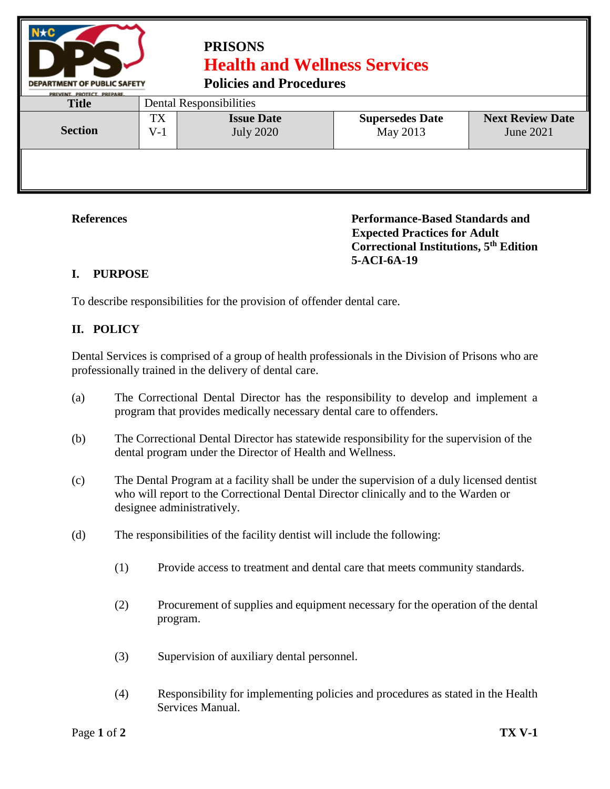

## **PRISONS Health and Wellness Services**

**Policies and Procedures** 

| PREVENT. PROTECT. PREPARE.<br><b>Title</b> | Dental Responsibilities       |                                       |                                    |                                      |  |  |
|--------------------------------------------|-------------------------------|---------------------------------------|------------------------------------|--------------------------------------|--|--|
| <b>Section</b>                             | <b>TX</b><br>$\rm V\text{-}1$ | <b>Issue Date</b><br><b>July 2020</b> | <b>Supersedes Date</b><br>May 2013 | <b>Next Review Date</b><br>June 2021 |  |  |
|                                            |                               |                                       |                                    |                                      |  |  |

**References Performance-Based Standards and Expected Practices for Adult Correctional Institutions, 5th Edition 5-ACI-6A-19**

## **I. PURPOSE**

To describe responsibilities for the provision of offender dental care.

## **II. POLICY**

Dental Services is comprised of a group of health professionals in the Division of Prisons who are professionally trained in the delivery of dental care.

- (a) The Correctional Dental Director has the responsibility to develop and implement a program that provides medically necessary dental care to offenders.
- (b) The Correctional Dental Director has statewide responsibility for the supervision of the dental program under the Director of Health and Wellness.
- (c) The Dental Program at a facility shall be under the supervision of a duly licensed dentist who will report to the Correctional Dental Director clinically and to the Warden or designee administratively.
- (d) The responsibilities of the facility dentist will include the following:
	- (1) Provide access to treatment and dental care that meets community standards.
	- (2) Procurement of supplies and equipment necessary for the operation of the dental program.
	- (3) Supervision of auxiliary dental personnel.
	- (4) Responsibility for implementing policies and procedures as stated in the Health Services Manual.